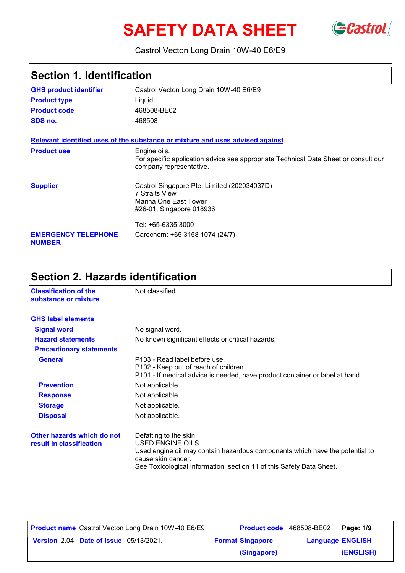# **SAFETY DATA SHEET** GCastrol



#### Castrol Vecton Long Drain 10W-40 E6/E9

## **Section 1. Identification**

| <b>GHS product identifier</b>               | Castrol Vecton Long Drain 10W-40 E6/E9                                                                                         |
|---------------------------------------------|--------------------------------------------------------------------------------------------------------------------------------|
| <b>Product type</b>                         | Liquid.                                                                                                                        |
| <b>Product code</b>                         | 468508-BE02                                                                                                                    |
| SDS no.                                     | 468508                                                                                                                         |
|                                             | Relevant identified uses of the substance or mixture and uses advised against                                                  |
| <b>Product use</b>                          | Engine oils.<br>For specific application advice see appropriate Technical Data Sheet or consult our<br>company representative. |
| <b>Supplier</b>                             | Castrol Singapore Pte. Limited (202034037D)<br><b>7 Straits View</b><br>Marina One East Tower<br>#26-01, Singapore 018936      |
|                                             | Tel: +65-6335 3000                                                                                                             |
| <b>EMERGENCY TELEPHONE</b><br><b>NUMBER</b> | Carechem: +65 3158 1074 (24/7)                                                                                                 |

## **Section 2. Hazards identification**

| <b>Classification of the</b><br>substance or mixture   | Not classified.                                                                                                                                                                                                                 |
|--------------------------------------------------------|---------------------------------------------------------------------------------------------------------------------------------------------------------------------------------------------------------------------------------|
| <b>GHS label elements</b>                              |                                                                                                                                                                                                                                 |
| <b>Signal word</b>                                     | No signal word.                                                                                                                                                                                                                 |
| <b>Hazard statements</b>                               | No known significant effects or critical hazards.                                                                                                                                                                               |
| <b>Precautionary statements</b>                        |                                                                                                                                                                                                                                 |
| <b>General</b>                                         | P103 - Read label before use.<br>P102 - Keep out of reach of children.<br>P101 - If medical advice is needed, have product container or label at hand.                                                                          |
| <b>Prevention</b>                                      | Not applicable.                                                                                                                                                                                                                 |
| <b>Response</b>                                        | Not applicable.                                                                                                                                                                                                                 |
| <b>Storage</b>                                         | Not applicable.                                                                                                                                                                                                                 |
| <b>Disposal</b>                                        | Not applicable.                                                                                                                                                                                                                 |
| Other hazards which do not<br>result in classification | Defatting to the skin.<br><b>USED ENGINE OILS</b><br>Used engine oil may contain hazardous components which have the potential to<br>cause skin cancer.<br>See Toxicological Information, section 11 of this Safety Data Sheet. |

| <b>Product name</b> Castrol Vecton Long Drain 10W-40 E6/E9 | <b>Product code</b> 468508-BE02 | Page: 1/9               |  |
|------------------------------------------------------------|---------------------------------|-------------------------|--|
| <b>Version 2.04 Date of issue 05/13/2021.</b>              | <b>Format Singapore</b>         | <b>Language ENGLISH</b> |  |
|                                                            | (Singapore)                     | (ENGLISH)               |  |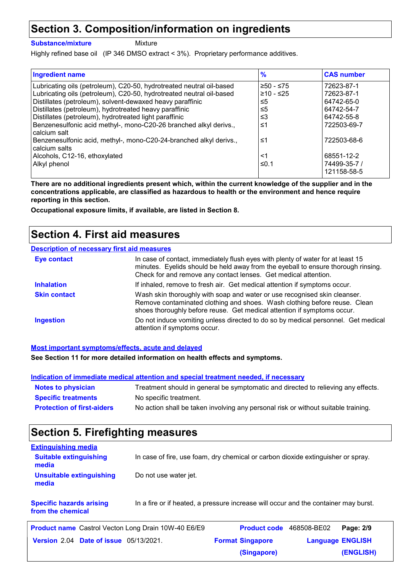### **Section 3. Composition/information on ingredients**

**Substance/mixture**

Mixture

Highly refined base oil (IP 346 DMSO extract < 3%). Proprietary performance additives.

| <b>Ingredient name</b>                                                              | $\frac{9}{6}$ | <b>CAS number</b> |
|-------------------------------------------------------------------------------------|---------------|-------------------|
| Lubricating oils (petroleum), C20-50, hydrotreated neutral oil-based                | $≥50 - ≤75$   | 72623-87-1        |
| Lubricating oils (petroleum), C20-50, hydrotreated neutral oil-based                | $≥10 - ≤25$   | 72623-87-1        |
| Distillates (petroleum), solvent-dewaxed heavy paraffinic                           | ≤5            | 64742-65-0        |
| Distillates (petroleum), hydrotreated heavy paraffinic                              | ≤5            | 64742-54-7        |
| Distillates (petroleum), hydrotreated light paraffinic                              | ≤3            | 64742-55-8        |
| Benzenesulfonic acid methyl-, mono-C20-26 branched alkyl derivs.,<br>calcium salt   | ≤1            | 722503-69-7       |
| Benzenesulfonic acid, methyl-, mono-C20-24-branched alkyl derivs.,<br>calcium salts | ≤1            | 722503-68-6       |
| Alcohols, C12-16, ethoxylated                                                       | $<$ 1         | 68551-12-2        |
| Alkyl phenol                                                                        | ≤0.1          | 74499-35-7 /      |
|                                                                                     |               | 121158-58-5       |

**There are no additional ingredients present which, within the current knowledge of the supplier and in the concentrations applicable, are classified as hazardous to health or the environment and hence require reporting in this section.**

**Occupational exposure limits, if available, are listed in Section 8.**

#### **Section 4. First aid measures**

#### **Description of necessary first aid measures**

| <b>Eye contact</b>  | In case of contact, immediately flush eyes with plenty of water for at least 15<br>minutes. Eyelids should be held away from the eyeball to ensure thorough rinsing.<br>Check for and remove any contact lenses. Get medical attention. |
|---------------------|-----------------------------------------------------------------------------------------------------------------------------------------------------------------------------------------------------------------------------------------|
| <b>Inhalation</b>   | If inhaled, remove to fresh air. Get medical attention if symptoms occur.                                                                                                                                                               |
| <b>Skin contact</b> | Wash skin thoroughly with soap and water or use recognised skin cleanser.<br>Remove contaminated clothing and shoes. Wash clothing before reuse. Clean<br>shoes thoroughly before reuse. Get medical attention if symptoms occur.       |
| <b>Ingestion</b>    | Do not induce vomiting unless directed to do so by medical personnel. Get medical<br>attention if symptoms occur.                                                                                                                       |

**Most important symptoms/effects, acute and delayed**

**See Section 11 for more detailed information on health effects and symptoms.**

|                                   | Indication of immediate medical attention and special treatment needed, if necessary |
|-----------------------------------|--------------------------------------------------------------------------------------|
| <b>Notes to physician</b>         | Treatment should in general be symptomatic and directed to relieving any effects.    |
| <b>Specific treatments</b>        | No specific treatment.                                                               |
| <b>Protection of first-aiders</b> | No action shall be taken involving any personal risk or without suitable training.   |

## **Section 5. Firefighting measures**

| <b>Extinguishing media</b>             |                                                                                  |
|----------------------------------------|----------------------------------------------------------------------------------|
| <b>Suitable extinguishing</b><br>media | In case of fire, use foam, dry chemical or carbon dioxide extinguisher or spray. |
| Unsuitable extinguishing<br>media      | Do not use water jet.                                                            |

**Specific hazards arising from the chemical** In a fire or if heated, a pressure increase will occur and the container may burst.

| <b>Product name</b> Castrol Vecton Long Drain 10W-40 E6/E9 | Product code 468508-BE02 | Page: 2/9               |  |
|------------------------------------------------------------|--------------------------|-------------------------|--|
| <b>Version 2.04 Date of issue 05/13/2021.</b>              | <b>Format Singapore</b>  | <b>Language ENGLISH</b> |  |
|                                                            | (Singapore)              | (ENGLISH)               |  |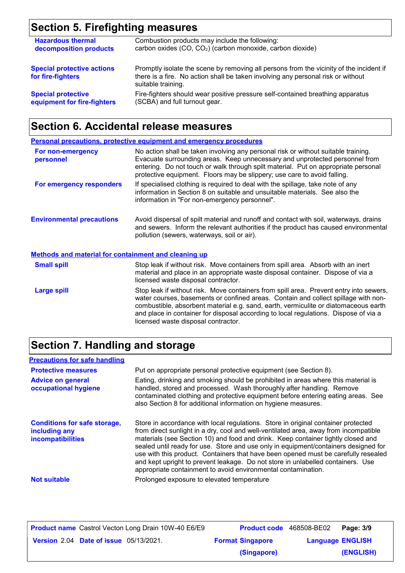## **Section 5. Firefighting measures**

| <b>Hazardous thermal</b>                               | Combustion products may include the following:                                                                                                                                                    |
|--------------------------------------------------------|---------------------------------------------------------------------------------------------------------------------------------------------------------------------------------------------------|
| decomposition products                                 | carbon oxides (CO, CO <sub>2</sub> ) (carbon monoxide, carbon dioxide)                                                                                                                            |
| <b>Special protective actions</b><br>for fire-fighters | Promptly isolate the scene by removing all persons from the vicinity of the incident if<br>there is a fire. No action shall be taken involving any personal risk or without<br>suitable training. |
| <b>Special protective</b>                              | Fire-fighters should wear positive pressure self-contained breathing apparatus                                                                                                                    |
| equipment for fire-fighters                            | (SCBA) and full turnout gear.                                                                                                                                                                     |

## **Section 6. Accidental release measures**

|                                                             | Personal precautions, protective equipment and emergency procedures                                                                                                                                                                                                                                                                                                                                |
|-------------------------------------------------------------|----------------------------------------------------------------------------------------------------------------------------------------------------------------------------------------------------------------------------------------------------------------------------------------------------------------------------------------------------------------------------------------------------|
| For non-emergency<br>personnel                              | No action shall be taken involving any personal risk or without suitable training.<br>Evacuate surrounding areas. Keep unnecessary and unprotected personnel from<br>entering. Do not touch or walk through spilt material. Put on appropriate personal<br>protective equipment. Floors may be slippery; use care to avoid falling.                                                                |
| For emergency responders                                    | If specialised clothing is required to deal with the spillage, take note of any<br>information in Section 8 on suitable and unsuitable materials. See also the<br>information in "For non-emergency personnel".                                                                                                                                                                                    |
| <b>Environmental precautions</b>                            | Avoid dispersal of spilt material and runoff and contact with soil, waterways, drains<br>and sewers. Inform the relevant authorities if the product has caused environmental<br>pollution (sewers, waterways, soil or air).                                                                                                                                                                        |
| <b>Methods and material for containment and cleaning up</b> |                                                                                                                                                                                                                                                                                                                                                                                                    |
| <b>Small spill</b>                                          | Stop leak if without risk. Move containers from spill area. Absorb with an inert<br>material and place in an appropriate waste disposal container. Dispose of via a<br>licensed waste disposal contractor.                                                                                                                                                                                         |
| <b>Large spill</b>                                          | Stop leak if without risk. Move containers from spill area. Prevent entry into sewers,<br>water courses, basements or confined areas. Contain and collect spillage with non-<br>combustible, absorbent material e.g. sand, earth, vermiculite or diatomaceous earth<br>and place in container for disposal according to local regulations. Dispose of via a<br>licensed waste disposal contractor. |

## **Section 7. Handling and storage**

| <b>Precautions for safe handling</b>                                      |                                                                                                                                                                                                                                                                                                                                                                                                                                                                                                                                                                                                |
|---------------------------------------------------------------------------|------------------------------------------------------------------------------------------------------------------------------------------------------------------------------------------------------------------------------------------------------------------------------------------------------------------------------------------------------------------------------------------------------------------------------------------------------------------------------------------------------------------------------------------------------------------------------------------------|
| <b>Protective measures</b>                                                | Put on appropriate personal protective equipment (see Section 8).                                                                                                                                                                                                                                                                                                                                                                                                                                                                                                                              |
| <b>Advice on general</b><br>occupational hygiene                          | Eating, drinking and smoking should be prohibited in areas where this material is<br>handled, stored and processed. Wash thoroughly after handling. Remove<br>contaminated clothing and protective equipment before entering eating areas. See<br>also Section 8 for additional information on hygiene measures.                                                                                                                                                                                                                                                                               |
| <b>Conditions for safe storage,</b><br>including any<br>incompatibilities | Store in accordance with local regulations. Store in original container protected<br>from direct sunlight in a dry, cool and well-ventilated area, away from incompatible<br>materials (see Section 10) and food and drink. Keep container tightly closed and<br>sealed until ready for use. Store and use only in equipment/containers designed for<br>use with this product. Containers that have been opened must be carefully resealed<br>and kept upright to prevent leakage. Do not store in unlabelled containers. Use<br>appropriate containment to avoid environmental contamination. |
| <b>Not suitable</b>                                                       | Prolonged exposure to elevated temperature                                                                                                                                                                                                                                                                                                                                                                                                                                                                                                                                                     |
|                                                                           |                                                                                                                                                                                                                                                                                                                                                                                                                                                                                                                                                                                                |

| <b>Product name</b> Castrol Vecton Long Drain 10W-40 E6/E9 |                         | <b>Product code</b> 468508-BE02   Page: 3/9 |  |
|------------------------------------------------------------|-------------------------|---------------------------------------------|--|
| <b>Version 2.04 Date of issue 05/13/2021.</b>              | <b>Format Singapore</b> | <b>Language ENGLISH</b>                     |  |
|                                                            | (Singapore)             | (ENGLISH)                                   |  |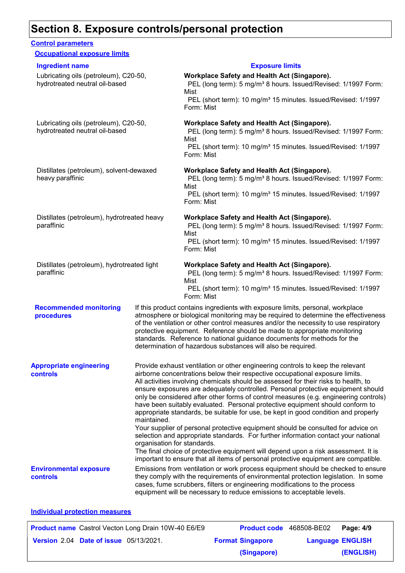### **Section 8. Exposure controls/personal protection**

#### **Recommended monitoring procedures** If this product contains ingredients with exposure limits, personal, workplace atmosphere or biological monitoring may be required to determine the effectiveness of the ventilation or other control measures and/or the necessity to use respiratory protective equipment. Reference should be made to appropriate monitoring standards. Reference to national guidance documents for methods for the determination of hazardous substances will also be required. **Environmental exposure controls** Emissions from ventilation or work process equipment should be checked to ensure they comply with the requirements of environmental protection legislation. In some cases, fume scrubbers, filters or engineering modifications to the process equipment will be necessary to reduce emissions to acceptable levels. **Appropriate engineering controls** Provide exhaust ventilation or other engineering controls to keep the relevant airborne concentrations below their respective occupational exposure limits. All activities involving chemicals should be assessed for their risks to health, to ensure exposures are adequately controlled. Personal protective equipment should only be considered after other forms of control measures (e.g. engineering controls) have been suitably evaluated. Personal protective equipment should conform to appropriate standards, be suitable for use, be kept in good condition and properly maintained. Your supplier of personal protective equipment should be consulted for advice on selection and appropriate standards. For further information contact your national organisation for standards. The final choice of protective equipment will depend upon a risk assessment. It is important to ensure that all items of personal protective equipment are compatible. **Control parameters Occupational exposure limits** Lubricating oils (petroleum), C20-50, hydrotreated neutral oil-based **Workplace Safety and Health Act (Singapore).** PEL (long term): 5 mg/m<sup>3</sup> 8 hours. Issued/Revised: 1/1997 Form: Mist PEL (short term): 10 mg/m<sup>3</sup> 15 minutes. Issued/Revised: 1/1997 Form: Mist Lubricating oils (petroleum), C20-50, hydrotreated neutral oil-based **Workplace Safety and Health Act (Singapore).** PEL (long term): 5 mg/m<sup>3</sup> 8 hours. Issued/Revised: 1/1997 Form: Mist PEL (short term): 10 mg/m<sup>3</sup> 15 minutes. Issued/Revised: 1/1997 Form: Mist Distillates (petroleum), solvent-dewaxed heavy paraffinic **Workplace Safety and Health Act (Singapore).** PEL (long term): 5 mg/m<sup>3</sup> 8 hours. Issued/Revised: 1/1997 Form: Mist PEL (short term): 10 mg/m<sup>3</sup> 15 minutes. Issued/Revised: 1/1997 Form: Mist Distillates (petroleum), hydrotreated heavy paraffinic **Workplace Safety and Health Act (Singapore).** PEL (long term): 5 mg/m<sup>3</sup> 8 hours. Issued/Revised: 1/1997 Form: Mist PEL (short term): 10 mg/m<sup>3</sup> 15 minutes. Issued/Revised: 1/1997 Form: Mist Distillates (petroleum), hydrotreated light paraffinic **Workplace Safety and Health Act (Singapore).** PEL (long term): 5 mg/m<sup>3</sup> 8 hours. Issued/Revised: 1/1997 Form: Mist PEL (short term): 10 mg/m<sup>3</sup> 15 minutes. Issued/Revised: 1/1997 Form: Mist **Ingredient name Exposure limits**

#### **Individual protection measures**

| <b>Product name</b> Castrol Vecton Long Drain 10W-40 E6/E9 | Product code 468508-BE02 |                         | Page: 4/9 |
|------------------------------------------------------------|--------------------------|-------------------------|-----------|
| <b>Version 2.04 Date of issue 05/13/2021.</b>              | <b>Format Singapore</b>  | <b>Language ENGLISH</b> |           |
|                                                            | (Singapore)              |                         | (ENGLISH) |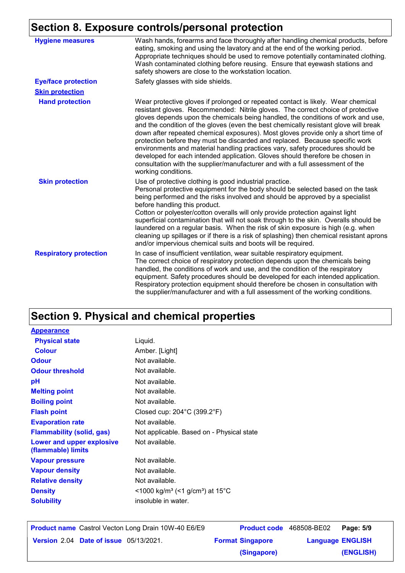## **Section 8. Exposure controls/personal protection**

| <b>Hygiene measures</b>       | Wash hands, forearms and face thoroughly after handling chemical products, before<br>eating, smoking and using the lavatory and at the end of the working period.<br>Appropriate techniques should be used to remove potentially contaminated clothing.<br>Wash contaminated clothing before reusing. Ensure that eyewash stations and<br>safety showers are close to the workstation location.                                                                                                                                                                                                                                                                                                                                                                                                 |
|-------------------------------|-------------------------------------------------------------------------------------------------------------------------------------------------------------------------------------------------------------------------------------------------------------------------------------------------------------------------------------------------------------------------------------------------------------------------------------------------------------------------------------------------------------------------------------------------------------------------------------------------------------------------------------------------------------------------------------------------------------------------------------------------------------------------------------------------|
| <b>Eye/face protection</b>    | Safety glasses with side shields.                                                                                                                                                                                                                                                                                                                                                                                                                                                                                                                                                                                                                                                                                                                                                               |
| <b>Skin protection</b>        |                                                                                                                                                                                                                                                                                                                                                                                                                                                                                                                                                                                                                                                                                                                                                                                                 |
| <b>Hand protection</b>        | Wear protective gloves if prolonged or repeated contact is likely. Wear chemical<br>resistant gloves. Recommended: Nitrile gloves. The correct choice of protective<br>gloves depends upon the chemicals being handled, the conditions of work and use,<br>and the condition of the gloves (even the best chemically resistant glove will break<br>down after repeated chemical exposures). Most gloves provide only a short time of<br>protection before they must be discarded and replaced. Because specific work<br>environments and material handling practices vary, safety procedures should be<br>developed for each intended application. Gloves should therefore be chosen in<br>consultation with the supplier/manufacturer and with a full assessment of the<br>working conditions. |
| <b>Skin protection</b>        | Use of protective clothing is good industrial practice.<br>Personal protective equipment for the body should be selected based on the task<br>being performed and the risks involved and should be approved by a specialist<br>before handling this product.<br>Cotton or polyester/cotton overalls will only provide protection against light<br>superficial contamination that will not soak through to the skin. Overalls should be<br>laundered on a regular basis. When the risk of skin exposure is high (e.g. when<br>cleaning up spillages or if there is a risk of splashing) then chemical resistant aprons<br>and/or impervious chemical suits and boots will be required.                                                                                                           |
| <b>Respiratory protection</b> | In case of insufficient ventilation, wear suitable respiratory equipment.<br>The correct choice of respiratory protection depends upon the chemicals being<br>handled, the conditions of work and use, and the condition of the respiratory<br>equipment. Safety procedures should be developed for each intended application.<br>Respiratory protection equipment should therefore be chosen in consultation with<br>the supplier/manufacturer and with a full assessment of the working conditions.                                                                                                                                                                                                                                                                                           |

## **Section 9. Physical and chemical properties**

| <b>Appearance</b>                               |                                                         |
|-------------------------------------------------|---------------------------------------------------------|
| <b>Physical state</b>                           | Liquid.                                                 |
| <b>Colour</b>                                   | Amber. [Light]                                          |
| <b>Odour</b>                                    | Not available.                                          |
| <b>Odour threshold</b>                          | Not available.                                          |
| рH                                              | Not available.                                          |
| <b>Melting point</b>                            | Not available.                                          |
| <b>Boiling point</b>                            | Not available.                                          |
| <b>Flash point</b>                              | Closed cup: $204^{\circ}$ C (399.2 $^{\circ}$ F)        |
| <b>Evaporation rate</b>                         | Not available.                                          |
| <b>Flammability (solid, gas)</b>                | Not applicable. Based on - Physical state               |
| Lower and upper explosive<br>(flammable) limits | Not available.                                          |
| <b>Vapour pressure</b>                          | Not available.                                          |
| <b>Vapour density</b>                           | Not available.                                          |
| <b>Relative density</b>                         | Not available.                                          |
| <b>Density</b>                                  | <1000 kg/m <sup>3</sup> (<1 g/cm <sup>3</sup> ) at 15°C |
| <b>Solubility</b>                               | insoluble in water.                                     |
|                                                 |                                                         |

|                                               | <b>Product name</b> Castrol Vecton Long Drain 10W-40 E6/E9 | Product code 468508-BE02 |                         | Page: 5/9 |
|-----------------------------------------------|------------------------------------------------------------|--------------------------|-------------------------|-----------|
| <b>Version 2.04 Date of issue 05/13/2021.</b> |                                                            | <b>Format Singapore</b>  | <b>Language ENGLISH</b> |           |
|                                               |                                                            | (Singapore)              |                         | (ENGLISH) |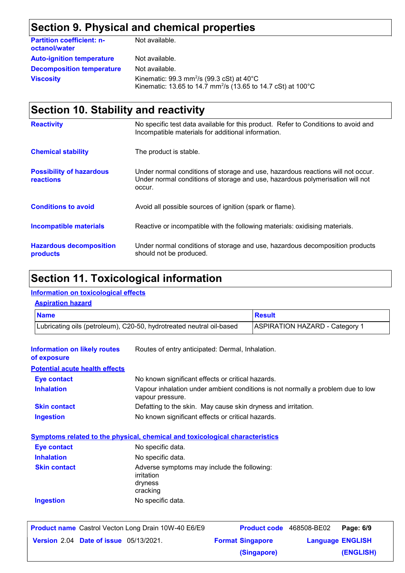## **Section 9. Physical and chemical properties**

| <b>Partition coefficient: n-</b><br>octanol/water | Not available.                                                                                                                              |
|---------------------------------------------------|---------------------------------------------------------------------------------------------------------------------------------------------|
| <b>Auto-ignition temperature</b>                  | Not available.                                                                                                                              |
| <b>Decomposition temperature</b>                  | Not available.                                                                                                                              |
| <b>Viscosity</b>                                  | Kinematic: 99.3 mm <sup>2</sup> /s (99.3 cSt) at $40^{\circ}$ C<br>Kinematic: 13.65 to 14.7 mm <sup>2</sup> /s (13.65 to 14.7 cSt) at 100°C |

## **Section 10. Stability and reactivity**

| <b>Reactivity</b>                            | No specific test data available for this product. Refer to Conditions to avoid and<br>Incompatible materials for additional information.                                   |
|----------------------------------------------|----------------------------------------------------------------------------------------------------------------------------------------------------------------------------|
| <b>Chemical stability</b>                    | The product is stable.                                                                                                                                                     |
| <b>Possibility of hazardous</b><br>reactions | Under normal conditions of storage and use, hazardous reactions will not occur.<br>Under normal conditions of storage and use, hazardous polymerisation will not<br>occur. |
| <b>Conditions to avoid</b>                   | Avoid all possible sources of ignition (spark or flame).                                                                                                                   |
| <b>Incompatible materials</b>                | Reactive or incompatible with the following materials: oxidising materials.                                                                                                |
| <b>Hazardous decomposition</b><br>products   | Under normal conditions of storage and use, hazardous decomposition products<br>should not be produced.                                                                    |

### **Section 11. Toxicological information**

#### **Information on toxicological effects**

| <b>Name</b>                                        |                                                                                                     | <b>Result</b> |  |
|----------------------------------------------------|-----------------------------------------------------------------------------------------------------|---------------|--|
|                                                    | Lubricating oils (petroleum), C20-50, hydrotreated neutral oil-based                                |               |  |
| <b>Information on likely routes</b><br>of exposure | Routes of entry anticipated: Dermal, Inhalation.                                                    |               |  |
| <b>Potential acute health effects</b>              |                                                                                                     |               |  |
| <b>Eye contact</b>                                 | No known significant effects or critical hazards.                                                   |               |  |
| <b>Inhalation</b>                                  | Vapour inhalation under ambient conditions is not normally a problem due to low<br>vapour pressure. |               |  |
| <b>Skin contact</b>                                | Defatting to the skin. May cause skin dryness and irritation.                                       |               |  |
| <b>Ingestion</b>                                   | No known significant effects or critical hazards.                                                   |               |  |
|                                                    | <b>Symptoms related to the physical, chemical and toxicological characteristics</b>                 |               |  |
| <b>Eye contact</b>                                 | No specific data.                                                                                   |               |  |
| <b>Inhalation</b>                                  | No specific data.                                                                                   |               |  |
| <b>Skin contact</b>                                | Adverse symptoms may include the following:<br>irritation<br>dryness<br>cracking                    |               |  |
| <b>Ingestion</b>                                   | No specific data.                                                                                   |               |  |

| <b>Product name</b> Castrol Vecton Long Drain 10W-40 E6/E9 |                         | Product code 468508-BE02 | Page: 6/9 |
|------------------------------------------------------------|-------------------------|--------------------------|-----------|
| <b>Version 2.04 Date of issue 05/13/2021.</b>              | <b>Format Singapore</b> | <b>Language ENGLISH</b>  |           |
|                                                            | (Singapore)             |                          | (ENGLISH) |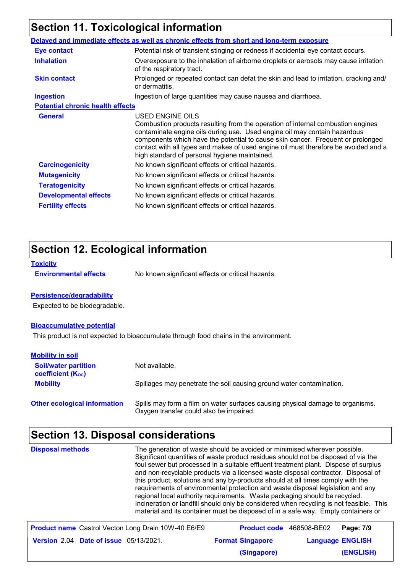## **Section 11. Toxicological information**

|                                         | Delayed and immediate effects as well as chronic effects from short and long-term exposure                                                                                                                                                                                                                                                                                                                  |
|-----------------------------------------|-------------------------------------------------------------------------------------------------------------------------------------------------------------------------------------------------------------------------------------------------------------------------------------------------------------------------------------------------------------------------------------------------------------|
| <b>Eye contact</b>                      | Potential risk of transient stinging or redness if accidental eye contact occurs.                                                                                                                                                                                                                                                                                                                           |
| <b>Inhalation</b>                       | Overexposure to the inhalation of airborne droplets or aerosols may cause irritation<br>of the respiratory tract.                                                                                                                                                                                                                                                                                           |
| <b>Skin contact</b>                     | Prolonged or repeated contact can defat the skin and lead to irritation, cracking and/<br>or dermatitis.                                                                                                                                                                                                                                                                                                    |
| <b>Ingestion</b>                        | Ingestion of large quantities may cause nausea and diarrhoea.                                                                                                                                                                                                                                                                                                                                               |
| <b>Potential chronic health effects</b> |                                                                                                                                                                                                                                                                                                                                                                                                             |
| <b>General</b>                          | USED ENGINE OILS<br>Combustion products resulting from the operation of internal combustion engines<br>contaminate engine oils during use. Used engine oil may contain hazardous<br>components which have the potential to cause skin cancer. Frequent or prolonged<br>contact with all types and makes of used engine oil must therefore be avoided and a<br>high standard of personal hygiene maintained. |
| <b>Carcinogenicity</b>                  | No known significant effects or critical hazards.                                                                                                                                                                                                                                                                                                                                                           |
| <b>Mutagenicity</b>                     | No known significant effects or critical hazards.                                                                                                                                                                                                                                                                                                                                                           |
| <b>Teratogenicity</b>                   | No known significant effects or critical hazards.                                                                                                                                                                                                                                                                                                                                                           |
| <b>Developmental effects</b>            | No known significant effects or critical hazards.                                                                                                                                                                                                                                                                                                                                                           |
| <b>Fertility effects</b>                | No known significant effects or critical hazards.                                                                                                                                                                                                                                                                                                                                                           |
|                                         |                                                                                                                                                                                                                                                                                                                                                                                                             |

## **Section 12. Ecological information**

**Toxicity**

**Environmental effects** No known significant effects or critical hazards.

#### **Persistence/degradability**

Expected to be biodegradable.

#### **Bioaccumulative potential**

This product is not expected to bioaccumulate through food chains in the environment.

| <b>Mobility in soil</b>                                 |                                                                                                                           |
|---------------------------------------------------------|---------------------------------------------------------------------------------------------------------------------------|
| <b>Soil/water partition</b><br><b>coefficient (Koc)</b> | Not available.                                                                                                            |
| <b>Mobility</b>                                         | Spillages may penetrate the soil causing ground water contamination.                                                      |
| <b>Other ecological information</b>                     | Spills may form a film on water surfaces causing physical damage to organisms.<br>Oxygen transfer could also be impaired. |

## **Section 13. Disposal considerations**

| <b>Disposal methods</b> | The generation of waste should be avoided or minimised wherever possible.<br>Significant quantities of waste product residues should not be disposed of via the<br>foul sewer but processed in a suitable effluent treatment plant. Dispose of surplus<br>and non-recyclable products via a licensed waste disposal contractor. Disposal of<br>this product, solutions and any by-products should at all times comply with the<br>requirements of environmental protection and waste disposal legislation and any<br>regional local authority requirements. Waste packaging should be recycled.<br>Incineration or landfill should only be considered when recycling is not feasible. This<br>material and its container must be disposed of in a safe way. Empty containers or |
|-------------------------|---------------------------------------------------------------------------------------------------------------------------------------------------------------------------------------------------------------------------------------------------------------------------------------------------------------------------------------------------------------------------------------------------------------------------------------------------------------------------------------------------------------------------------------------------------------------------------------------------------------------------------------------------------------------------------------------------------------------------------------------------------------------------------|
|                         |                                                                                                                                                                                                                                                                                                                                                                                                                                                                                                                                                                                                                                                                                                                                                                                 |

| <b>Product name</b> Castrol Vecton Long Drain 10W-40 E6/E9 |                         | <b>Product code</b> 468508-BE02   Page: 7/9 |  |
|------------------------------------------------------------|-------------------------|---------------------------------------------|--|
| <b>Version 2.04 Date of issue 05/13/2021.</b>              | <b>Format Singapore</b> | <b>Language ENGLISH</b>                     |  |
|                                                            | (Singapore)             | (ENGLISH)                                   |  |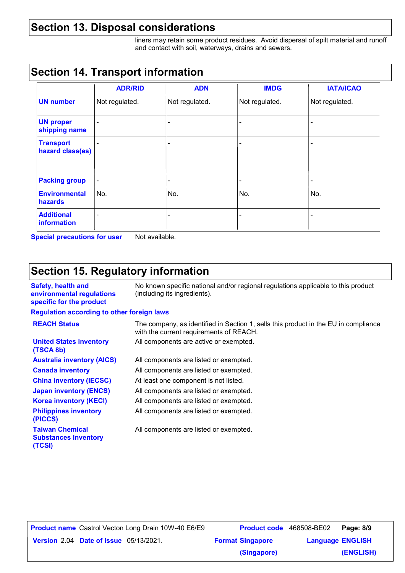### **Section 13. Disposal considerations**

liners may retain some product residues. Avoid dispersal of spilt material and runoff and contact with soil, waterways, drains and sewers.

### **Section 14. Transport information**

|                                        | <b>ADR/RID</b> | <b>ADN</b>               | <b>IMDG</b>              | <b>IATA/ICAO</b> |
|----------------------------------------|----------------|--------------------------|--------------------------|------------------|
| <b>UN number</b>                       | Not regulated. | Not regulated.           | Not regulated.           | Not regulated.   |
| <b>UN proper</b><br>shipping name      |                |                          |                          |                  |
| <b>Transport</b><br>hazard class(es)   |                | ٠                        |                          |                  |
| <b>Packing group</b>                   |                | $\overline{\phantom{a}}$ | $\overline{\phantom{a}}$ |                  |
| <b>Environmental</b><br><b>hazards</b> | No.            | No.                      | No.                      | No.              |
| <b>Additional</b><br>information       |                |                          |                          |                  |

**Special precautions for user** Not available.

### **Section 15. Regulatory information**

| Safety, health and<br>environmental regulations<br>specific for the product | No known specific national and/or regional regulations applicable to this product<br>(including its ingredients).              |
|-----------------------------------------------------------------------------|--------------------------------------------------------------------------------------------------------------------------------|
| <b>Regulation according to other foreign laws</b>                           |                                                                                                                                |
| <b>REACH Status</b>                                                         | The company, as identified in Section 1, sells this product in the EU in compliance<br>with the current requirements of REACH. |
| <b>United States inventory</b><br>(TSCA 8b)                                 | All components are active or exempted.                                                                                         |
| <b>Australia inventory (AICS)</b>                                           | All components are listed or exempted.                                                                                         |
| <b>Canada inventory</b>                                                     | All components are listed or exempted.                                                                                         |
| <b>China inventory (IECSC)</b>                                              | At least one component is not listed.                                                                                          |
| <b>Japan inventory (ENCS)</b>                                               | All components are listed or exempted.                                                                                         |
| <b>Korea inventory (KECI)</b>                                               | All components are listed or exempted.                                                                                         |
| <b>Philippines inventory</b><br>(PICCS)                                     | All components are listed or exempted.                                                                                         |
| <b>Taiwan Chamical</b>                                                      | All componente are listed or exampted                                                                                          |

**Taiwan Chemical Substances Inventory (TCSI)**

All components are listed or exempted.

|                                               | <b>Product name</b> Castrol Vecton Long Drain 10W-40 E6/E9 | <b>Product code</b> 468508-BE02 |                         | Page: 8/9 |
|-----------------------------------------------|------------------------------------------------------------|---------------------------------|-------------------------|-----------|
| <b>Version 2.04 Date of issue 05/13/2021.</b> |                                                            | <b>Format Singapore</b>         | <b>Language ENGLISH</b> |           |
|                                               |                                                            | (Singapore)                     |                         | (ENGLISH) |